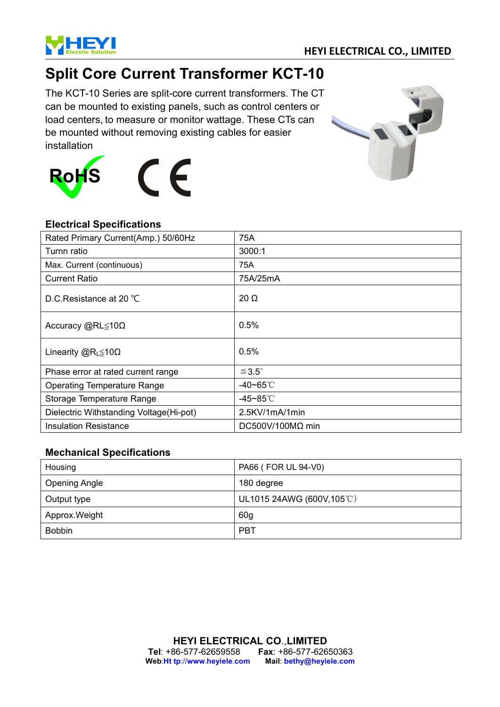

# **Split Core Current Transformer KCT-10**

The KCT-10 Series are split-core current transformers. The CT can be mounted to existing panels, such as control centers or load centers, to measure or monitor wattage. These CTs can be mounted without removing existing cables for easier installation





### **Electrical Specifications**

| Rated Primary Current(Amp.) 50/60Hz     | 75A                     |
|-----------------------------------------|-------------------------|
| Turnn ratio                             | 3000:1                  |
| Max. Current (continuous)               | 75A                     |
| Current Ratio                           | 75A/25mA                |
| D.C.Resistance at 20 °C                 | $20 \Omega$             |
| Accuracy @RL≤10Ω                        | 0.5%                    |
| Linearity $@R_{L} \leq 10\Omega$        | 0.5%                    |
| Phase error at rated current range      | $\leq 3.5$ °            |
| <b>Operating Temperature Range</b>      | -40~65℃                 |
| Storage Temperature Range               | -45~85 $°C$             |
| Dielectric Withstanding Voltage(Hi-pot) | 2.5KV/1mA/1min          |
| <b>Insulation Resistance</b>            | $DC500V/100M\Omega$ min |

### **Mechanical Specifications**

| Housing              | PA66 (FOR UL 94-V0)      |
|----------------------|--------------------------|
| <b>Opening Angle</b> | 180 degree               |
| Output type          | UL1015 24AWG (600V,105℃) |
| Approx. Weight       | 60 <sub>g</sub>          |
| <b>Bobbin</b>        | <b>PBT</b>               |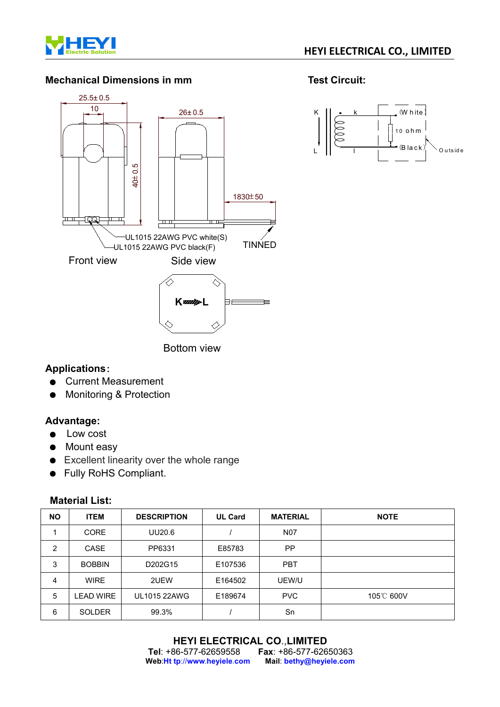

### **Mechanical Dimensions in mm Test Circuit:**





Bottom view

### **Applications**:

- Current Measurement
- Monitoring & Protection

### **Advantage:**

- Low cost
- Mount easy
- Excellent linearity over the whole range
- Fully RoHS Compliant.

### **Material List:**

| <b>NO</b>      | <b>ITEM</b>      | <b>DESCRIPTION</b> | <b>UL Card</b> | <b>MATERIAL</b> | <b>NOTE</b> |
|----------------|------------------|--------------------|----------------|-----------------|-------------|
|                | <b>CORE</b>      | UU20.6             |                | <b>N07</b>      |             |
| $\overline{2}$ | CASE             | PP6331             | E85783         | PP.             |             |
| 3              | <b>BOBBIN</b>    | D202G15            | E107536        | <b>PBT</b>      |             |
| 4              | <b>WIRE</b>      | 2UEW               | E164502        | UEW/U           |             |
| 5              | <b>LEAD WIRE</b> | UL1015 22AWG       | E189674        | <b>PVC</b>      | 105°C 600V  |
| 6              | <b>SOLDER</b>    | 99.3%              |                | Sn              |             |